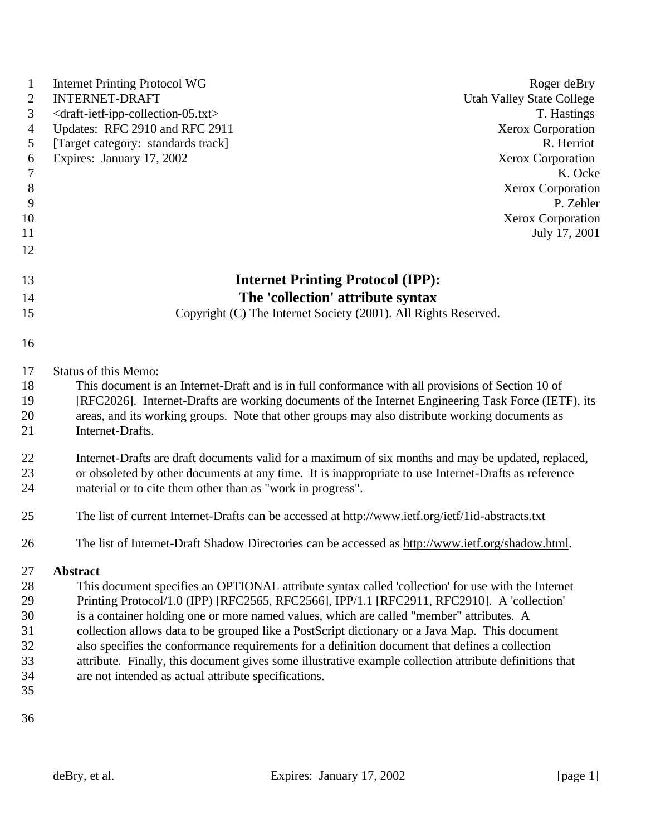| $\mathbf{1}$     | <b>Internet Printing Protocol WG</b>                                                                    | Roger deBry                       |
|------------------|---------------------------------------------------------------------------------------------------------|-----------------------------------|
| $\mathbf{2}$     | <b>INTERNET-DRAFT</b>                                                                                   | <b>Utah Valley State College</b>  |
| 3                | <draft-ietf-ipp-collection-05.txt></draft-ietf-ipp-collection-05.txt>                                   | T. Hastings                       |
| $\overline{4}$   | Updates: RFC 2910 and RFC 2911                                                                          | Xerox Corporation                 |
| 5                | [Target category: standards track]                                                                      | R. Herriot                        |
| 6                | Expires: January 17, 2002                                                                               | <b>Xerox Corporation</b>          |
| $\boldsymbol{7}$ |                                                                                                         | K. Ocke                           |
| $8\,$            |                                                                                                         | <b>Xerox Corporation</b>          |
| 9                |                                                                                                         | P. Zehler                         |
| 10               |                                                                                                         | Xerox Corporation                 |
| 11               |                                                                                                         | July 17, 2001                     |
| 12               |                                                                                                         |                                   |
| 13               | <b>Internet Printing Protocol (IPP):</b>                                                                |                                   |
| 14               |                                                                                                         | The 'collection' attribute syntax |
| 15               | Copyright (C) The Internet Society (2001). All Rights Reserved.                                         |                                   |
|                  |                                                                                                         |                                   |
| 16               |                                                                                                         |                                   |
| 17               | Status of this Memo:                                                                                    |                                   |
| 18               | This document is an Internet-Draft and is in full conformance with all provisions of Section 10 of      |                                   |
| 19               | [RFC2026]. Internet-Drafts are working documents of the Internet Engineering Task Force (IETF), its     |                                   |
| 20               | areas, and its working groups. Note that other groups may also distribute working documents as          |                                   |
| 21               | Internet-Drafts.                                                                                        |                                   |
| 22               | Internet-Drafts are draft documents valid for a maximum of six months and may be updated, replaced,     |                                   |
| 23               | or obsoleted by other documents at any time. It is inappropriate to use Internet-Drafts as reference    |                                   |
| 24               | material or to cite them other than as "work in progress".                                              |                                   |
|                  |                                                                                                         |                                   |
| 25               | The list of current Internet-Drafts can be accessed at http://www.ietf.org/ietf/1id-abstracts.txt       |                                   |
| 26               | The list of Internet-Draft Shadow Directories can be accessed as http://www.ietf.org/shadow.html.       |                                   |
| 27               | <b>Abstract</b>                                                                                         |                                   |
| 28               | This document specifies an OPTIONAL attribute syntax called 'collection' for use with the Internet      |                                   |
| 29               | Printing Protocol/1.0 (IPP) [RFC2565, RFC2566], IPP/1.1 [RFC2911, RFC2910]. A 'collection'              |                                   |
| 30               | is a container holding one or more named values, which are called "member" attributes. A                |                                   |
| 31               | collection allows data to be grouped like a PostScript dictionary or a Java Map. This document          |                                   |
| 32               | also specifies the conformance requirements for a definition document that defines a collection         |                                   |
| 33               | attribute. Finally, this document gives some illustrative example collection attribute definitions that |                                   |
| 34               | are not intended as actual attribute specifications.                                                    |                                   |
| 35               |                                                                                                         |                                   |
| 36               |                                                                                                         |                                   |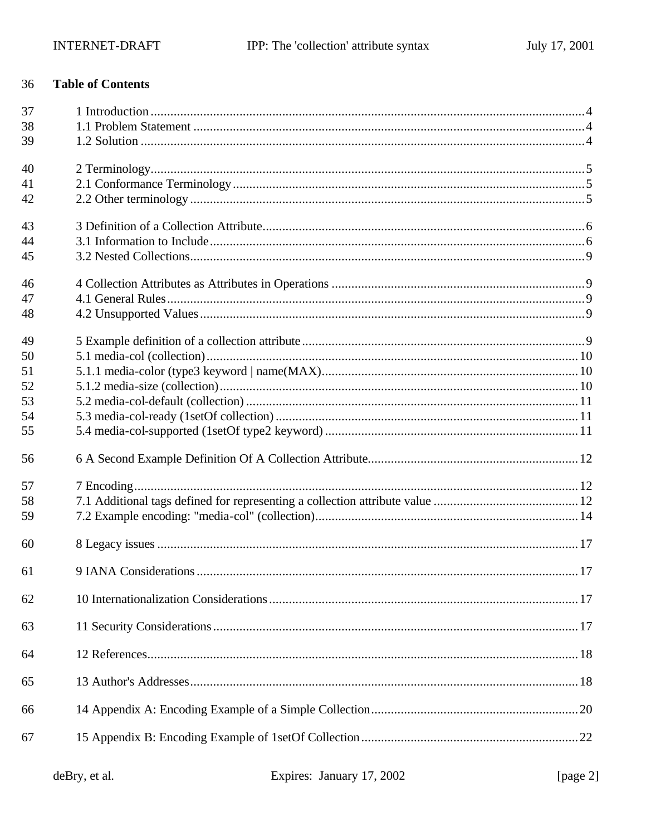#### **Table of Contents** 36

| 37 |  |
|----|--|
| 38 |  |
| 39 |  |
| 40 |  |
| 41 |  |
| 42 |  |
| 43 |  |
| 44 |  |
| 45 |  |
| 46 |  |
| 47 |  |
| 48 |  |
| 49 |  |
| 50 |  |
| 51 |  |
| 52 |  |
| 53 |  |
| 54 |  |
| 55 |  |
| 56 |  |
| 57 |  |
| 58 |  |
| 59 |  |
| 60 |  |
| 61 |  |
| 62 |  |
| 63 |  |
| 64 |  |
| 65 |  |
| 66 |  |
| 67 |  |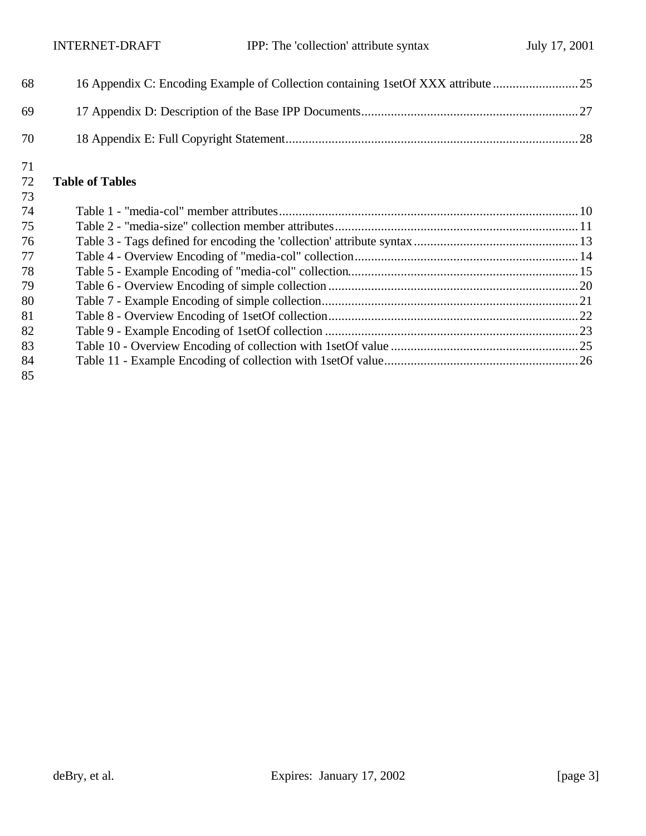| 68  | 16 Appendix C: Encoding Example of Collection containing 1set Of XXX attribute |  |
|-----|--------------------------------------------------------------------------------|--|
| 69. |                                                                                |  |
| 70  |                                                                                |  |

### **Table of Tables**

| 73 |  |
|----|--|
| 74 |  |
| 75 |  |
| 76 |  |
| 77 |  |
| 78 |  |
| 79 |  |
| 80 |  |
| 81 |  |
| 82 |  |
| 83 |  |
| 84 |  |
| 85 |  |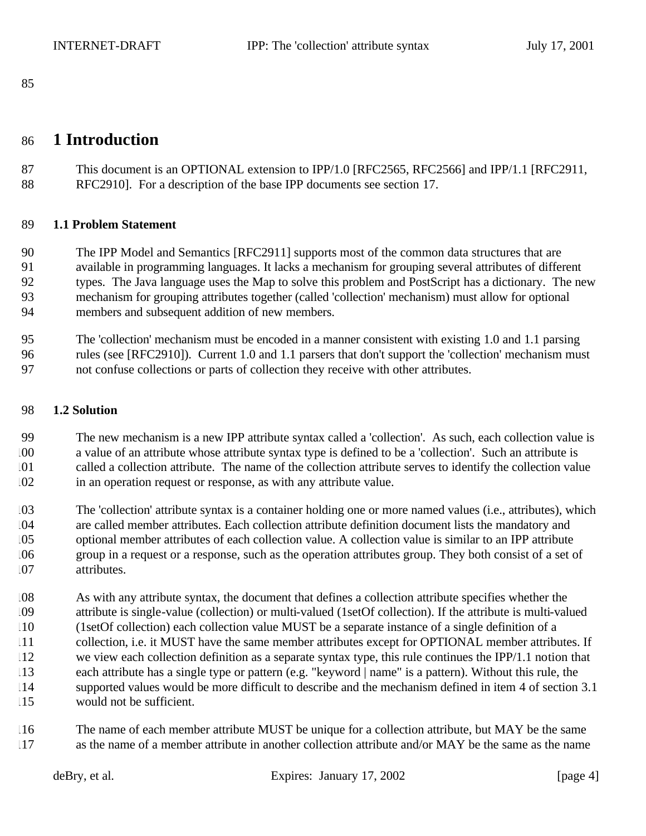### **1 Introduction**

87 This document is an OPTIONAL extension to IPP/1.0 [RFC2565, RFC2566] and IPP/1.1 [RFC2911, RFC2910]. For a description of the base IPP documents see section 17.

#### **1.1 Problem Statement**

 The IPP Model and Semantics [RFC2911] supports most of the common data structures that are available in programming languages. It lacks a mechanism for grouping several attributes of different types. The Java language uses the Map to solve this problem and PostScript has a dictionary. The new mechanism for grouping attributes together (called 'collection' mechanism) must allow for optional members and subsequent addition of new members.

 The 'collection' mechanism must be encoded in a manner consistent with existing 1.0 and 1.1 parsing rules (see [RFC2910]). Current 1.0 and 1.1 parsers that don't support the 'collection' mechanism must not confuse collections or parts of collection they receive with other attributes.

#### **1.2 Solution**

 The new mechanism is a new IPP attribute syntax called a 'collection'. As such, each collection value is a value of an attribute whose attribute syntax type is defined to be a 'collection'. Such an attribute is called a collection attribute. The name of the collection attribute serves to identify the collection value in an operation request or response, as with any attribute value.

 The 'collection' attribute syntax is a container holding one or more named values (i.e., attributes), which are called member attributes. Each collection attribute definition document lists the mandatory and optional member attributes of each collection value. A collection value is similar to an IPP attribute group in a request or a response, such as the operation attributes group. They both consist of a set of attributes.

 As with any attribute syntax, the document that defines a collection attribute specifies whether the attribute is single-value (collection) or multi-valued (1setOf collection). If the attribute is multi-valued (1setOf collection) each collection value MUST be a separate instance of a single definition of a 11 collection, i.e. it MUST have the same member attributes except for OPTIONAL member attributes. If we view each collection definition as a separate syntax type, this rule continues the IPP/1.1 notion that each attribute has a single type or pattern (e.g. "keyword | name" is a pattern). Without this rule, the supported values would be more difficult to describe and the mechanism defined in item 4 of section 3.1 would not be sufficient.

 The name of each member attribute MUST be unique for a collection attribute, but MAY be the same as the name of a member attribute in another collection attribute and/or MAY be the same as the name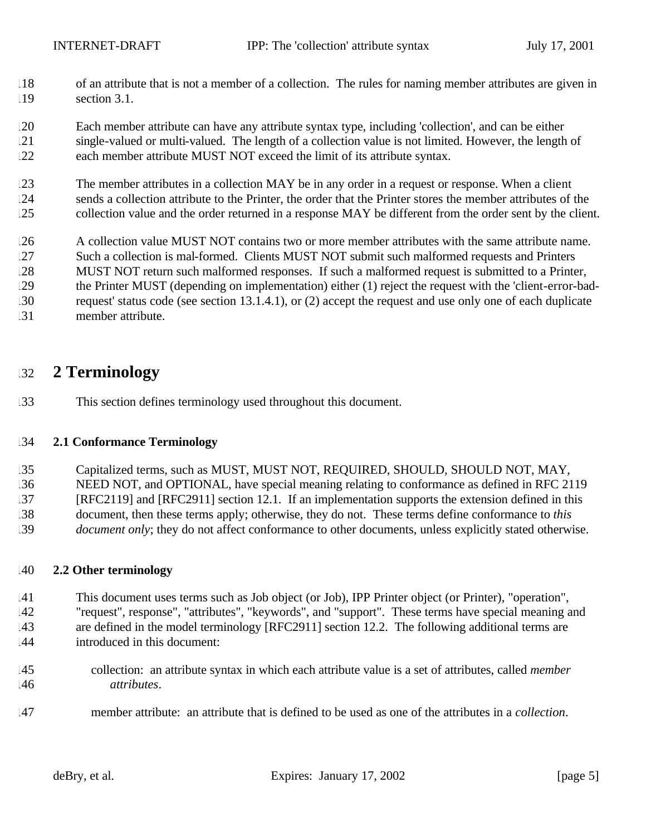- of an attribute that is not a member of a collection. The rules for naming member attributes are given in section 3.1.
- Each member attribute can have any attribute syntax type, including 'collection', and can be either single-valued or multi-valued. The length of a collection value is not limited. However, the length of each member attribute MUST NOT exceed the limit of its attribute syntax.
- The member attributes in a collection MAY be in any order in a request or response. When a client sends a collection attribute to the Printer, the order that the Printer stores the member attributes of the collection value and the order returned in a response MAY be different from the order sent by the client.
- A collection value MUST NOT contains two or more member attributes with the same attribute name.
- Such a collection is mal-formed. Clients MUST NOT submit such malformed requests and Printers
- MUST NOT return such malformed responses. If such a malformed request is submitted to a Printer, the Printer MUST (depending on implementation) either (1) reject the request with the 'client-error-bad-
- request' status code (see section 13.1.4.1), or (2) accept the request and use only one of each duplicate
- member attribute.

### **2 Terminology**

This section defines terminology used throughout this document.

#### **2.1 Conformance Terminology**

- Capitalized terms, such as MUST, MUST NOT, REQUIRED, SHOULD, SHOULD NOT, MAY,
- NEED NOT, and OPTIONAL, have special meaning relating to conformance as defined in RFC 2119
- [RFC2119] and [RFC2911] section 12.1. If an implementation supports the extension defined in this
- document, then these terms apply; otherwise, they do not. These terms define conformance to *this*
- *document only*; they do not affect conformance to other documents, unless explicitly stated otherwise.

### **2.2 Other terminology**

- This document uses terms such as Job object (or Job), IPP Printer object (or Printer), "operation", "request", response", "attributes", "keywords", and "support". These terms have special meaning and
- are defined in the model terminology [RFC2911] section 12.2. The following additional terms are
- introduced in this document:
- collection: an attribute syntax in which each attribute value is a set of attributes, called *member attributes*.
- member attribute: an attribute that is defined to be used as one of the attributes in a *collection*.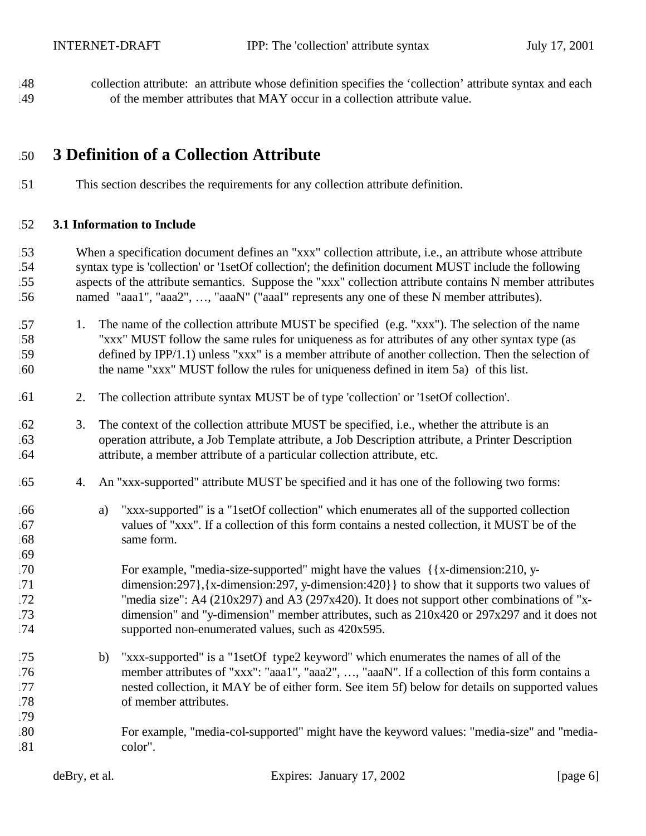collection attribute: an attribute whose definition specifies the 'collection' attribute syntax and each of the member attributes that MAY occur in a collection attribute value.

### **3 Definition of a Collection Attribute**

This section describes the requirements for any collection attribute definition.

#### **3.1 Information to Include**

- When a specification document defines an "xxx" collection attribute, i.e., an attribute whose attribute syntax type is 'collection' or '1setOf collection'; the definition document MUST include the following aspects of the attribute semantics. Suppose the "xxx" collection attribute contains N member attributes named "aaa1", "aaa2", …, "aaaN" ("aaaI" represents any one of these N member attributes).
- 1. The name of the collection attribute MUST be specified (e.g. "xxx"). The selection of the name "xxx" MUST follow the same rules for uniqueness as for attributes of any other syntax type (as defined by IPP/1.1) unless "xxx" is a member attribute of another collection. Then the selection of the name "xxx" MUST follow the rules for uniqueness defined in item 5a) of this list.
- 2. The collection attribute syntax MUST be of type 'collection' or '1setOf collection'.
- 3. The context of the collection attribute MUST be specified, i.e., whether the attribute is an operation attribute, a Job Template attribute, a Job Description attribute, a Printer Description attribute, a member attribute of a particular collection attribute, etc.
- 4. An "xxx-supported" attribute MUST be specified and it has one of the following two forms:
- a) "xxx-supported" is a "1setOf collection" which enumerates all of the supported collection values of "xxx". If a collection of this form contains a nested collection, it MUST be of the same form.

 For example, "media-size-supported" might have the values  $\frac{1}{x}$ -dimension:210, y- dimension:297},{x-dimension:297, y-dimension:420}} to show that it supports two values of 172 "media size":  $A4 (210x297)$  and  $A3 (297x420)$ . It does not support other combinations of "x- dimension" and "y-dimension" member attributes, such as 210x420 or 297x297 and it does not supported non-enumerated values, such as 420x595.

- b) "xxx-supported" is a "1setOf type2 keyword" which enumerates the names of all of the member attributes of "xxx": "aaa1", "aaa2", …, "aaaN". If a collection of this form contains a nested collection, it MAY be of either form. See item 5f) below for details on supported values of member attributes.
- For example, "media-col-supported" might have the keyword values: "media-size" and "media-color".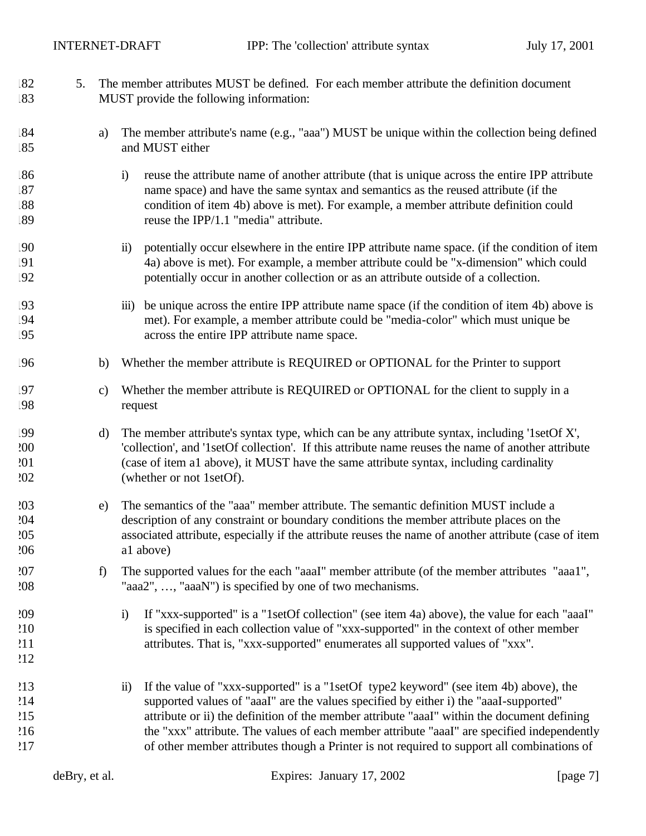5. The member attributes MUST be defined. For each member attribute the definition document

| .83                             |               | MUST provide the following information:                                                                                                                                                                                                                                                                                                                                                                                                                                                           |
|---------------------------------|---------------|---------------------------------------------------------------------------------------------------------------------------------------------------------------------------------------------------------------------------------------------------------------------------------------------------------------------------------------------------------------------------------------------------------------------------------------------------------------------------------------------------|
| .84<br>85                       | a)            | The member attribute's name (e.g., "aaa") MUST be unique within the collection being defined<br>and MUST either                                                                                                                                                                                                                                                                                                                                                                                   |
| .86<br>.87<br>.88<br>.89        |               | reuse the attribute name of another attribute (that is unique across the entire IPP attribute<br>$\ddot{i}$<br>name space) and have the same syntax and semantics as the reused attribute (if the<br>condition of item 4b) above is met). For example, a member attribute definition could<br>reuse the IPP/1.1 "media" attribute.                                                                                                                                                                |
| !90<br>!91<br>!92               |               | potentially occur elsewhere in the entire IPP attribute name space. (if the condition of item<br>$\ddot{\mathbf{n}}$<br>4a) above is met). For example, a member attribute could be "x-dimension" which could<br>potentially occur in another collection or as an attribute outside of a collection.                                                                                                                                                                                              |
| !93<br>!94<br>!95               |               | be unique across the entire IPP attribute name space (if the condition of item 4b) above is<br>$\overline{111})$<br>met). For example, a member attribute could be "media-color" which must unique be<br>across the entire IPP attribute name space.                                                                                                                                                                                                                                              |
| !96                             | b)            | Whether the member attribute is REQUIRED or OPTIONAL for the Printer to support                                                                                                                                                                                                                                                                                                                                                                                                                   |
| .97<br>!98                      | $\mathbf{c})$ | Whether the member attribute is REQUIRED or OPTIONAL for the client to supply in a<br>request                                                                                                                                                                                                                                                                                                                                                                                                     |
| !99<br>200<br>201<br>202        | d)            | The member attribute's syntax type, which can be any attribute syntax, including '1setOf X',<br>'collection', and '1setOf collection'. If this attribute name reuses the name of another attribute<br>(case of item a1 above), it MUST have the same attribute syntax, including cardinality<br>(whether or not 1setOf).                                                                                                                                                                          |
| 203<br>204<br>205<br>206        | e)            | The semantics of the "aaa" member attribute. The semantic definition MUST include a<br>description of any constraint or boundary conditions the member attribute places on the<br>associated attribute, especially if the attribute reuses the name of another attribute (case of item<br>al above)                                                                                                                                                                                               |
| 207<br>208                      | f)            | The supported values for the each "aaaI" member attribute (of the member attributes "aaa1",<br>"aaa2", , "aaaN") is specified by one of two mechanisms.                                                                                                                                                                                                                                                                                                                                           |
| 209<br>210<br>211<br>212        |               | If "xxx-supported" is a "1setOf collection" (see item 4a) above), the value for each "aaaI"<br>$\ddot{1}$<br>is specified in each collection value of "xxx-supported" in the context of other member<br>attributes. That is, "xxx-supported" enumerates all supported values of "xxx".                                                                                                                                                                                                            |
| 213<br>214<br>215<br>216<br>217 |               | If the value of "xxx-supported" is a "1setOf type2 keyword" (see item 4b) above), the<br>$\ddot{\mathbf{n}}$<br>supported values of "aaaI" are the values specified by either i) the "aaaI-supported"<br>attribute or ii) the definition of the member attribute "aaaI" within the document defining<br>the "xxx" attribute. The values of each member attribute "aaaI" are specified independently<br>of other member attributes though a Printer is not required to support all combinations of |
|                                 | deBry, et al. | Expires: January 17, 2002<br>[page 7]                                                                                                                                                                                                                                                                                                                                                                                                                                                             |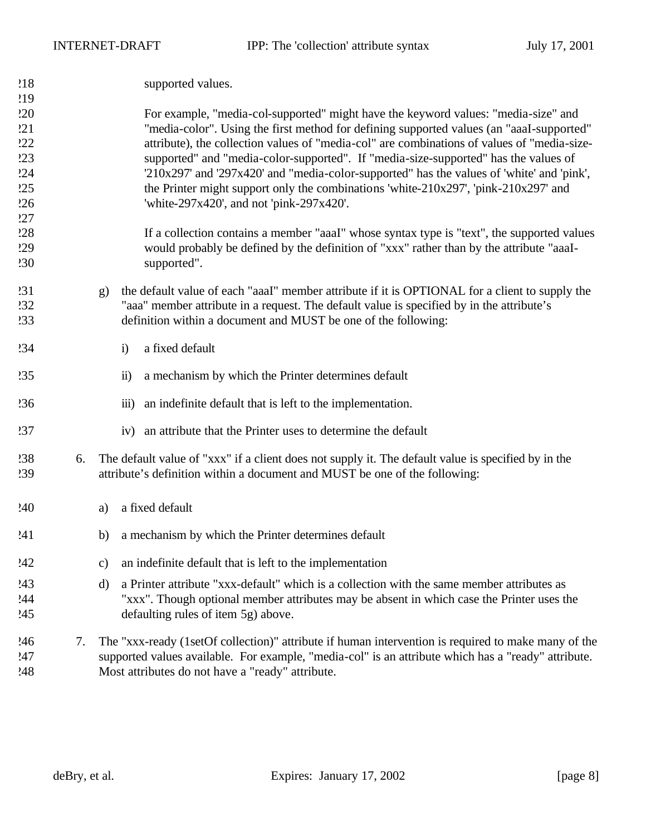| 218 | supported values. |
|-----|-------------------|
|-----|-------------------|

### For example, "media-col-supported" might have the keyword values: "media-size" and "media-color". Using the first method for defining supported values (an "aaaI-supported" attribute), the collection values of "media-col" are combinations of values of "media-size- supported" and "media-color-supported". If "media-size-supported" has the values of '210x297' and '297x420' and "media-color-supported" has the values of 'white' and 'pink', the Printer might support only the combinations 'white- $210x297'$ , 'pink- $210x297'$ ' and 'white-297x420', and not 'pink-297x420'.

- If a collection contains a member "aaaI" whose syntax type is "text", the supported values would probably be defined by the definition of "xxx" rather than by the attribute "aaaI-supported".
- g) the default value of each "aaaI" member attribute if it is OPTIONAL for a client to supply the "aaa" member attribute in a request. The default value is specified by in the attribute's definition within a document and MUST be one of the following:
- i) a fixed default
- ii) a mechanism by which the Printer determines default
- iii) an indefinite default that is left to the implementation.
- iv) an attribute that the Printer uses to determine the default
- 6. The default value of "xxx" if a client does not supply it. The default value is specified by in the attribute's definition within a document and MUST be one of the following:
- a) a fixed default
- b) a mechanism by which the Printer determines default
- c) an indefinite default that is left to the implementation
- d) a Printer attribute "xxx-default" which is a collection with the same member attributes as "xxx". Though optional member attributes may be absent in which case the Printer uses the defaulting rules of item 5g) above.
- 7. The "xxx-ready (1setOf collection)" attribute if human intervention is required to make many of the supported values available. For example, "media-col" is an attribute which has a "ready" attribute. Most attributes do not have a "ready" attribute.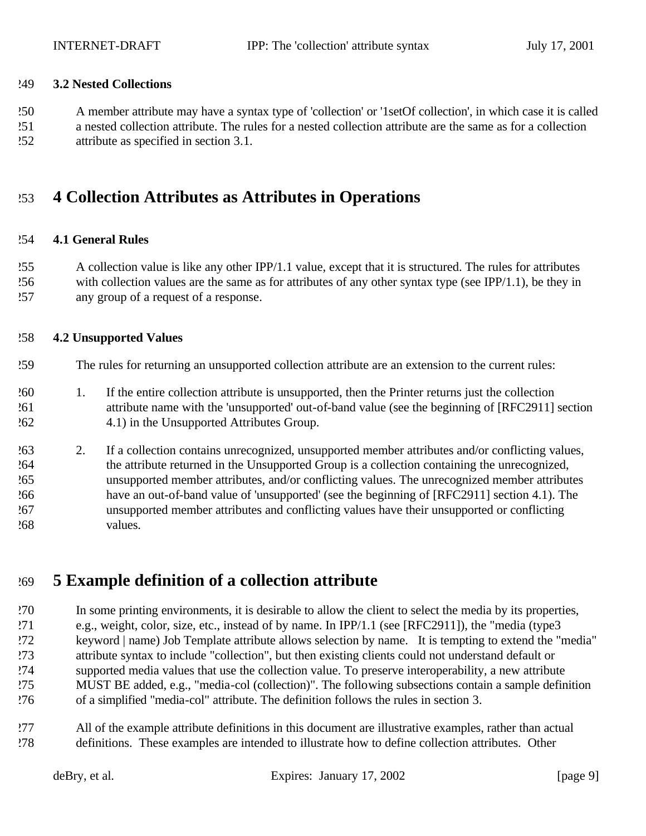#### **3.2 Nested Collections**

A member attribute may have a syntax type of 'collection' or '1setOf collection', in which case it is called

 a nested collection attribute. The rules for a nested collection attribute are the same as for a collection attribute as specified in section 3.1.

### **4 Collection Attributes as Attributes in Operations**

#### **4.1 General Rules**

 A collection value is like any other IPP/1.1 value, except that it is structured. The rules for attributes with collection values are the same as for attributes of any other syntax type (see IPP/1.1), be they in any group of a request of a response.

#### **4.2 Unsupported Values**

- The rules for returning an unsupported collection attribute are an extension to the current rules:
- 1. If the entire collection attribute is unsupported, then the Printer returns just the collection attribute name with the 'unsupported' out-of-band value (see the beginning of [RFC2911] section 4.1) in the Unsupported Attributes Group.
- 2. If a collection contains unrecognized, unsupported member attributes and/or conflicting values, the attribute returned in the Unsupported Group is a collection containing the unrecognized, unsupported member attributes, and/or conflicting values. The unrecognized member attributes have an out-of-band value of 'unsupported' (see the beginning of [RFC2911] section 4.1). The unsupported member attributes and conflicting values have their unsupported or conflicting values.

### **5 Example definition of a collection attribute**

 In some printing environments, it is desirable to allow the client to select the media by its properties, e.g., weight, color, size, etc., instead of by name. In IPP/1.1 (see [RFC2911]), the "media (type3 keyword | name) Job Template attribute allows selection by name. It is tempting to extend the "media" attribute syntax to include "collection", but then existing clients could not understand default or supported media values that use the collection value. To preserve interoperability, a new attribute MUST BE added, e.g., "media-col (collection)". The following subsections contain a sample definition of a simplified "media-col" attribute. The definition follows the rules in section 3.

 All of the example attribute definitions in this document are illustrative examples, rather than actual definitions. These examples are intended to illustrate how to define collection attributes. Other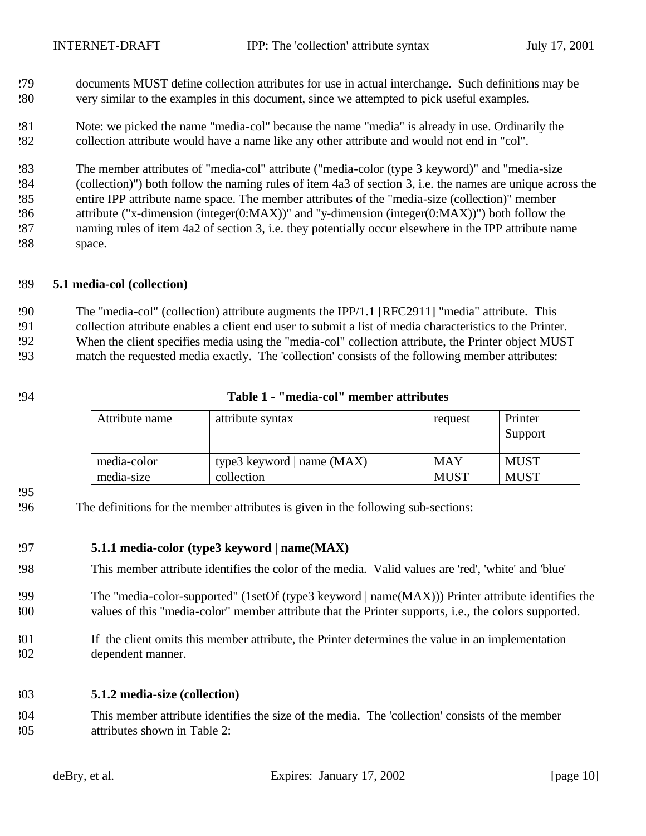- documents MUST define collection attributes for use in actual interchange. Such definitions may be very similar to the examples in this document, since we attempted to pick useful examples.
- Note: we picked the name "media-col" because the name "media" is already in use. Ordinarily the collection attribute would have a name like any other attribute and would not end in "col".

 The member attributes of "media-col" attribute ("media-color (type 3 keyword)" and "media-size (collection)") both follow the naming rules of item 4a3 of section 3, i.e. the names are unique across the entire IPP attribute name space. The member attributes of the "media-size (collection)" member attribute ("x-dimension (integer(0:MAX))" and "y-dimension (integer(0:MAX))") both follow the naming rules of item 4a2 of section 3, i.e. they potentially occur elsewhere in the IPP attribute name space.

#### **5.1 media-col (collection)**

The "media-col" (collection) attribute augments the IPP/1.1 [RFC2911] "media" attribute. This

collection attribute enables a client end user to submit a list of media characteristics to the Printer.

When the client specifies media using the "media-col" collection attribute, the Printer object MUST

match the requested media exactly. The 'collection' consists of the following member attributes:

#### **Table 1 - "media-col" member attributes**

| Attribute name | attribute syntax             | request     | Printer<br>Support |
|----------------|------------------------------|-------------|--------------------|
| media-color    | type3 keyword   name $(MAX)$ | <b>MAY</b>  | <b>MUST</b>        |
| media-size     | collection                   | <b>MUST</b> | <b>MUST</b>        |

#### 

The definitions for the member attributes is given in the following sub-sections:

#### **5.1.1 media-color (type3 keyword | name(MAX)**

- This member attribute identifies the color of the media. Valid values are 'red', 'white' and 'blue'
- The "media-color-supported" (1setOf (type3 keyword | name(MAX))) Printer attribute identifies the values of this "media-color" member attribute that the Printer supports, i.e., the colors supported.
- If the client omits this member attribute, the Printer determines the value in an implementation dependent manner.

#### **5.1.2 media-size (collection)**

 This member attribute identifies the size of the media. The 'collection' consists of the member attributes shown in Table 2: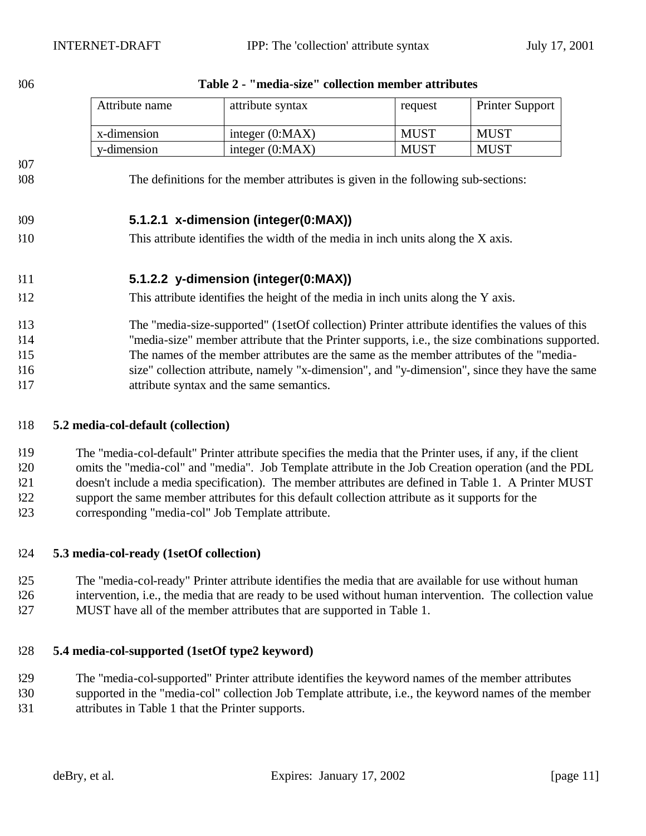|            | Attribute name                                                                                  | attribute syntax                                                                               | request     | Printer Support |  |
|------------|-------------------------------------------------------------------------------------------------|------------------------------------------------------------------------------------------------|-------------|-----------------|--|
|            | x-dimension                                                                                     | integer $(0:MAX)$                                                                              | <b>MUST</b> | <b>MUST</b>     |  |
|            | y-dimension                                                                                     | integer $(0:MAX)$                                                                              | <b>MUST</b> | <b>MUST</b>     |  |
| 307<br>308 |                                                                                                 | The definitions for the member attributes is given in the following sub-sections:              |             |                 |  |
| 309        |                                                                                                 | 5.1.2.1 x-dimension (integer(0:MAX))                                                           |             |                 |  |
| 310        | This attribute identifies the width of the media in inch units along the X axis.                |                                                                                                |             |                 |  |
| 311        |                                                                                                 | 5.1.2.2 y-dimension (integer(0:MAX))                                                           |             |                 |  |
| 312        | This attribute identifies the height of the media in inch units along the Y axis.               |                                                                                                |             |                 |  |
| 313        |                                                                                                 | The "media-size-supported" (1setOf collection) Printer attribute identifies the values of this |             |                 |  |
| 314        | "media-size" member attribute that the Printer supports, i.e., the size combinations supported. |                                                                                                |             |                 |  |
| 315        |                                                                                                 | The names of the member attributes are the same as the member attributes of the "media-        |             |                 |  |
| 316        | size" collection attribute, namely "x-dimension", and "y-dimension", since they have the same   |                                                                                                |             |                 |  |
| 317        | attribute syntax and the same semantics.                                                        |                                                                                                |             |                 |  |

#### **Table 2 - "media-size" collection member attributes**

#### **5.2 media-col-default (collection)**

 The "media-col-default" Printer attribute specifies the media that the Printer uses, if any, if the client omits the "media-col" and "media". Job Template attribute in the Job Creation operation (and the PDL doesn't include a media specification). The member attributes are defined in Table 1. A Printer MUST support the same member attributes for this default collection attribute as it supports for the corresponding "media-col" Job Template attribute.

#### **5.3 media-col-ready (1setOf collection)**

 The "media-col-ready" Printer attribute identifies the media that are available for use without human intervention, i.e., the media that are ready to be used without human intervention. The collection value MUST have all of the member attributes that are supported in Table 1.

#### **5.4 media-col-supported (1setOf type2 keyword)**

The "media-col-supported" Printer attribute identifies the keyword names of the member attributes

 supported in the "media-col" collection Job Template attribute, i.e., the keyword names of the member attributes in Table 1 that the Printer supports.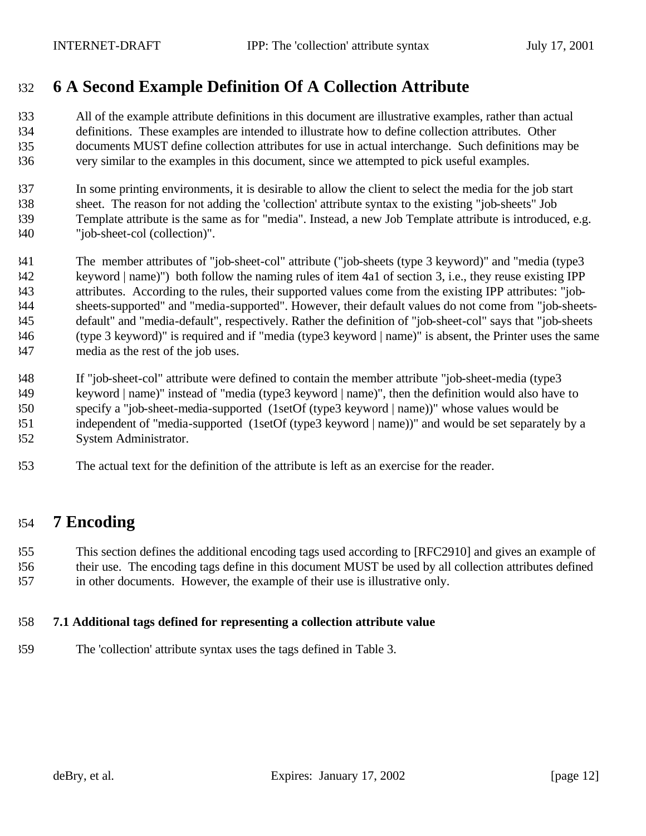## **6 A Second Example Definition Of A Collection Attribute**

 All of the example attribute definitions in this document are illustrative examples, rather than actual definitions. These examples are intended to illustrate how to define collection attributes. Other documents MUST define collection attributes for use in actual interchange. Such definitions may be very similar to the examples in this document, since we attempted to pick useful examples.

 In some printing environments, it is desirable to allow the client to select the media for the job start sheet. The reason for not adding the 'collection' attribute syntax to the existing "job-sheets" Job Template attribute is the same as for "media". Instead, a new Job Template attribute is introduced, e.g. "job-sheet-col (collection)".

 The member attributes of "job-sheet-col" attribute ("job-sheets (type 3 keyword)" and "media (type3 keyword | name)") both follow the naming rules of item 4a1 of section 3, i.e., they reuse existing IPP attributes. According to the rules, their supported values come from the existing IPP attributes: "job- sheets-supported" and "media-supported". However, their default values do not come from "job-sheets- default" and "media-default", respectively. Rather the definition of "job-sheet-col" says that "job-sheets (type 3 keyword)" is required and if "media (type3 keyword | name)" is absent, the Printer uses the same media as the rest of the job uses.

 If "job-sheet-col" attribute were defined to contain the member attribute "job-sheet-media (type3 keyword | name)" instead of "media (type3 keyword | name)", then the definition would also have to specify a "job-sheet-media-supported (1setOf (type3 keyword | name))" whose values would be independent of "media-supported (1setOf (type3 keyword | name))" and would be set separately by a System Administrator.

The actual text for the definition of the attribute is left as an exercise for the reader.

### **7 Encoding**

 This section defines the additional encoding tags used according to [RFC2910] and gives an example of their use. The encoding tags define in this document MUST be used by all collection attributes defined in other documents. However, the example of their use is illustrative only.

#### **7.1 Additional tags defined for representing a collection attribute value**

The 'collection' attribute syntax uses the tags defined in Table 3.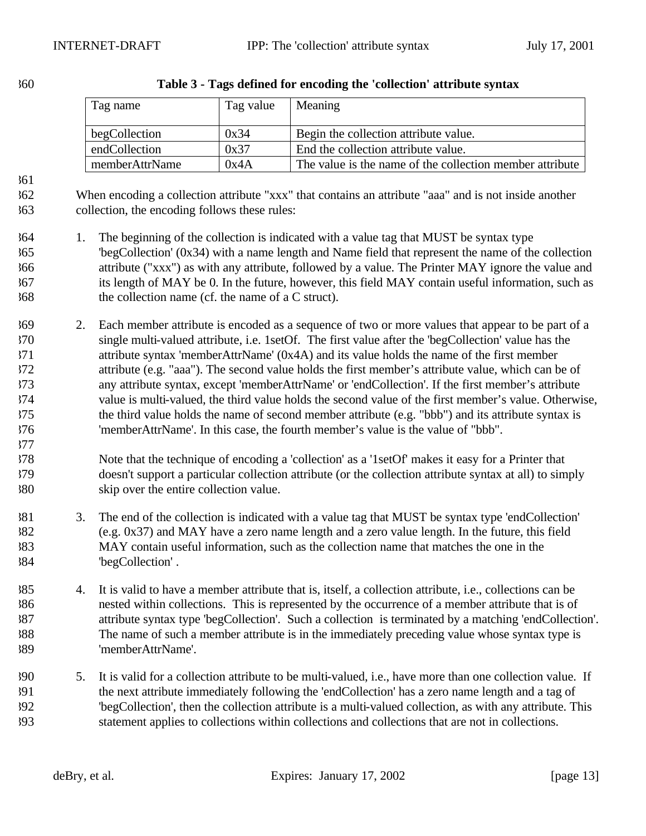| Tag name       | Tag value | Meaning                                                  |
|----------------|-----------|----------------------------------------------------------|
| begCollection  | 0x34      | Begin the collection attribute value.                    |
| endCollection  | 0x37      | End the collection attribute value.                      |
| memberAttrName | 0x4A      | The value is the name of the collection member attribute |

| 360 |  |  | Table 3 - Tags defined for encoding the 'collection' attribute syntax |
|-----|--|--|-----------------------------------------------------------------------|
|     |  |  |                                                                       |

 When encoding a collection attribute "xxx" that contains an attribute "aaa" and is not inside another collection, the encoding follows these rules:

- 1. The beginning of the collection is indicated with a value tag that MUST be syntax type 'begCollection' (0x34) with a name length and Name field that represent the name of the collection attribute ("xxx") as with any attribute, followed by a value. The Printer MAY ignore the value and its length of MAY be 0. In the future, however, this field MAY contain useful information, such as the collection name (cf. the name of a C struct).
- 2. Each member attribute is encoded as a sequence of two or more values that appear to be part of a single multi-valued attribute, i.e. 1setOf. The first value after the 'begCollection' value has the attribute syntax 'memberAttrName' (0x4A) and its value holds the name of the first member attribute (e.g. "aaa"). The second value holds the first member's attribute value, which can be of any attribute syntax, except 'memberAttrName' or 'endCollection'. If the first member's attribute value is multi-valued, the third value holds the second value of the first member's value. Otherwise, the third value holds the name of second member attribute (e.g. "bbb") and its attribute syntax is 'memberAttrName'. In this case, the fourth member's value is the value of "bbb".
- Note that the technique of encoding a 'collection' as a '1setOf' makes it easy for a Printer that doesn't support a particular collection attribute (or the collection attribute syntax at all) to simply skip over the entire collection value.
- 3. The end of the collection is indicated with a value tag that MUST be syntax type 'endCollection' (e.g. 0x37) and MAY have a zero name length and a zero value length. In the future, this field MAY contain useful information, such as the collection name that matches the one in the 'begCollection' .
- 4. It is valid to have a member attribute that is, itself, a collection attribute, i.e., collections can be nested within collections. This is represented by the occurrence of a member attribute that is of attribute syntax type 'begCollection'. Such a collection is terminated by a matching 'endCollection'. The name of such a member attribute is in the immediately preceding value whose syntax type is 'memberAttrName'.
- 5. It is valid for a collection attribute to be multi-valued, i.e., have more than one collection value. If the next attribute immediately following the 'endCollection' has a zero name length and a tag of 'begCollection', then the collection attribute is a multi-valued collection, as with any attribute. This statement applies to collections within collections and collections that are not in collections.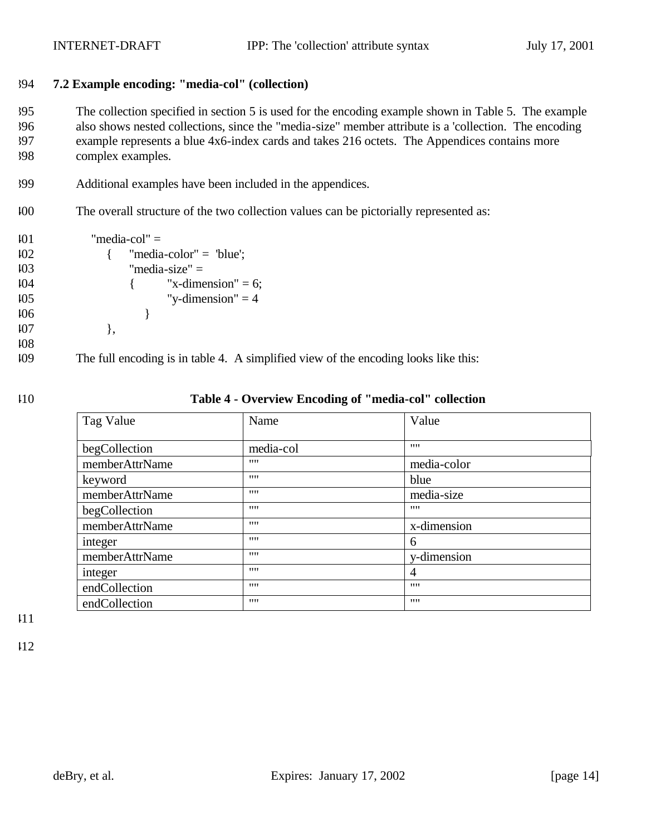#### 394 **7.2 Example encoding: "media-col" (collection)**

 The collection specified in section 5 is used for the encoding example shown in Table 5. The example also shows nested collections, since the "media-size" member attribute is a 'collection. The encoding example represents a blue 4x6-index cards and takes 216 octets. The Appendices contains more complex examples.

- 399 Additional examples have been included in the appendices.
- 400 The overall structure of the two collection values can be pictorially represented as:

```
101 "media-col" =
402 { "media-color" = "blue";
103 "media-size" =
404 \{ "x-dimension" = 6;
105 "y-dimension" = 4
406 } 
107 },
408
```
409 The full encoding is in table 4. A simplified view of the encoding looks like this:

#### 410 **Table 4 - Overview Encoding of "media-col" collection**

| Tag Value      | Name      | Value       |
|----------------|-----------|-------------|
| begCollection  | media-col | 1111        |
| memberAttrName | 1111      | media-color |
| keyword        | 1111      | blue        |
| memberAttrName | 1111      | media-size  |
| begCollection  | 1111      | 1111        |
| memberAttrName | 1111      | x-dimension |
| integer        | 1111      | 6           |
| memberAttrName | 1111      | y-dimension |
| integer        | 1111      | 4           |
| endCollection  | 1111      | 1111        |
| endCollection  | 1111      | 1111        |

411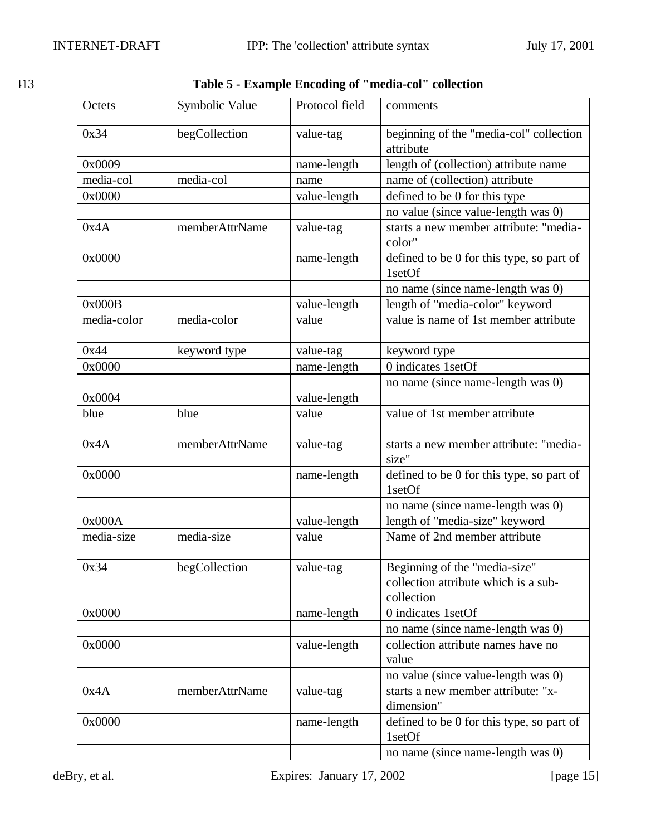|  | ٦<br>I<br>v<br>٠ |
|--|------------------|
|  |                  |

| Table 5 - Example Encoding of "media-col" collection |  |
|------------------------------------------------------|--|
|------------------------------------------------------|--|

| Octets      | Symbolic Value | Protocol field | comments                                                                            |
|-------------|----------------|----------------|-------------------------------------------------------------------------------------|
| 0x34        | begCollection  | value-tag      | beginning of the "media-col" collection<br>attribute                                |
| 0x0009      |                | name-length    | length of (collection) attribute name                                               |
| media-col   | media-col      | name           | name of (collection) attribute                                                      |
| 0x0000      |                | value-length   | defined to be 0 for this type                                                       |
|             |                |                | no value (since value-length was 0)                                                 |
| 0x4A        | memberAttrName | value-tag      | starts a new member attribute: "media-<br>color"                                    |
| 0x0000      |                | name-length    | defined to be 0 for this type, so part of<br>1setOf                                 |
|             |                |                | no name (since name-length was 0)                                                   |
| 0x000B      |                | value-length   | length of "media-color" keyword                                                     |
| media-color | media-color    | value          | value is name of 1st member attribute                                               |
| 0x44        | keyword type   | value-tag      | keyword type                                                                        |
| 0x0000      |                | name-length    | 0 indicates 1setOf                                                                  |
|             |                |                | no name (since name-length was 0)                                                   |
| 0x0004      |                | value-length   |                                                                                     |
| blue        | blue           | value          | value of 1st member attribute                                                       |
| 0x4A        | memberAttrName | value-tag      | starts a new member attribute: "media-<br>size"                                     |
| 0x0000      |                | name-length    | defined to be 0 for this type, so part of<br>1setOf                                 |
|             |                |                | no name (since name-length was 0)                                                   |
| 0x000A      |                | value-length   | length of "media-size" keyword                                                      |
| media-size  | media-size     | value          | Name of 2nd member attribute                                                        |
| 0x34        | begCollection  | value-tag      | Beginning of the "media-size"<br>collection attribute which is a sub-<br>collection |
| 0x0000      |                | name-length    | 0 indicates 1setOf                                                                  |
|             |                |                | no name (since name-length was 0)                                                   |
| 0x0000      |                | value-length   | collection attribute names have no<br>value                                         |
|             |                |                | no value (since value-length was 0)                                                 |
| 0x4A        | memberAttrName | value-tag      | starts a new member attribute: "x-<br>dimension"                                    |
| 0x0000      |                | name-length    | defined to be 0 for this type, so part of<br>1setOf                                 |
|             |                |                | no name (since name-length was 0)                                                   |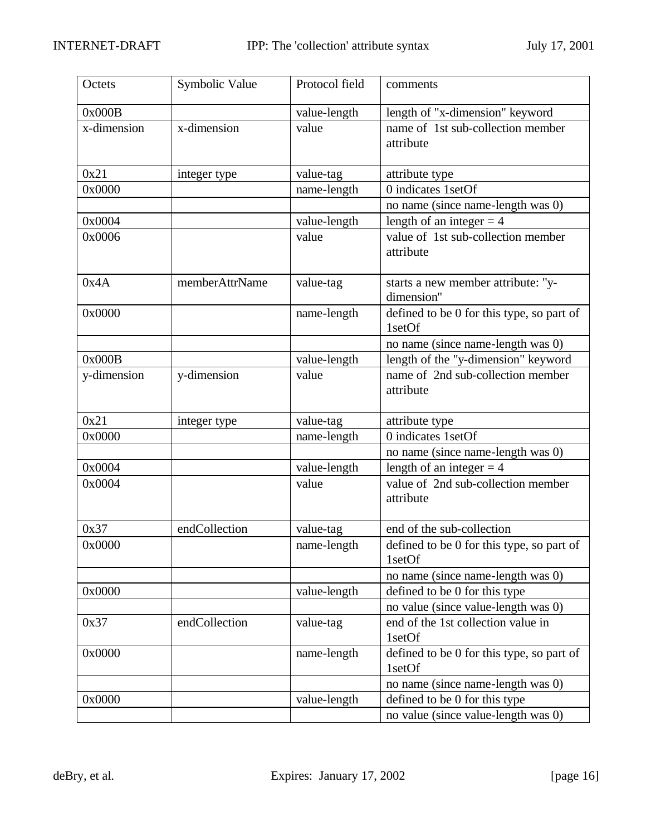| Octets      | Symbolic Value | Protocol field | comments                                            |
|-------------|----------------|----------------|-----------------------------------------------------|
| 0x000B      |                | value-length   | length of "x-dimension" keyword                     |
| x-dimension | x-dimension    | value          | name of 1st sub-collection member<br>attribute      |
| 0x21        | integer type   | value-tag      | attribute type                                      |
| 0x0000      |                | name-length    | 0 indicates 1setOf                                  |
|             |                |                | no name (since name-length was 0)                   |
| 0x0004      |                | value-length   | length of an integer $=$ 4                          |
| 0x0006      |                | value          | value of 1st sub-collection member<br>attribute     |
| 0x4A        | memberAttrName | value-tag      | starts a new member attribute: "y-<br>dimension"    |
| 0x0000      |                | name-length    | defined to be 0 for this type, so part of<br>1setOf |
|             |                |                | no name (since name-length was 0)                   |
| 0x000B      |                | value-length   | length of the "y-dimension" keyword                 |
| y-dimension | y-dimension    | value          | name of 2nd sub-collection member<br>attribute      |
| 0x21        | integer type   | value-tag      | attribute type                                      |
| 0x0000      |                | name-length    | 0 indicates 1setOf                                  |
|             |                |                | no name (since name-length was 0)                   |
| 0x0004      |                | value-length   | length of an integer $=$ 4                          |
| 0x0004      |                | value          | value of 2nd sub-collection member<br>attribute     |
| 0x37        | endCollection  | value-tag      | end of the sub-collection                           |
| 0x0000      |                | name-length    | defined to be 0 for this type, so part of<br>1setOf |
|             |                |                | no name (since name-length was 0)                   |
| 0x0000      |                | value-length   | defined to be 0 for this type                       |
|             |                |                | no value (since value-length was 0)                 |
| 0x37        | endCollection  | value-tag      | end of the 1st collection value in<br>1setOf        |
| 0x0000      |                | name-length    | defined to be 0 for this type, so part of<br>1setOf |
|             |                |                | no name (since name-length was 0)                   |
| 0x0000      |                | value-length   | defined to be 0 for this type                       |
|             |                |                | no value (since value-length was 0)                 |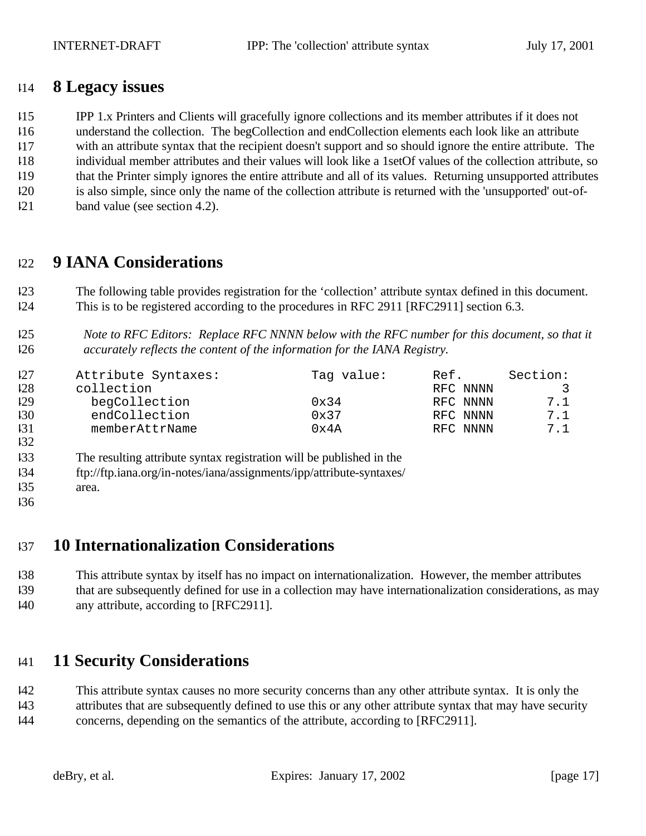### **8 Legacy issues**

IPP 1.x Printers and Clients will gracefully ignore collections and its member attributes if it does not

understand the collection. The begCollection and endCollection elements each look like an attribute

with an attribute syntax that the recipient doesn't support and so should ignore the entire attribute. The

- individual member attributes and their values will look like a 1setOf values of the collection attribute, so that the Printer simply ignores the entire attribute and all of its values. Returning unsupported attributes
- is also simple, since only the name of the collection attribute is returned with the 'unsupported' out-of-
- band value (see section 4.2).

# **9 IANA Considerations**

 The following table provides registration for the 'collection' attribute syntax defined in this document. This is to be registered according to the procedures in RFC 2911 [RFC2911] section 6.3.

### *Note to RFC Editors: Replace RFC NNNN below with the RFC number for this document, so that it accurately reflects the content of the information for the IANA Registry.*

| 127 | Attribute Syntaxes: | Tag value:     | Ref.     | Section: |
|-----|---------------------|----------------|----------|----------|
| 128 | collection          |                | RFC NNNN | 3        |
| 129 | begCollection       | $0 \times 34$  | RFC NNNN | 7.1      |
| 130 | endCollection       | $0 \times 37$  | RFC NNNN | 7.1      |
| 131 | memberAttrName      | $0 \times 4$ A | RFC NNNN | 7.1      |
| 132 |                     |                |          |          |

The resulting attribute syntax registration will be published in the

ftp://ftp.iana.org/in-notes/iana/assignments/ipp/attribute-syntaxes/

- area.
- 

## **10 Internationalization Considerations**

 This attribute syntax by itself has no impact on internationalization. However, the member attributes that are subsequently defined for use in a collection may have internationalization considerations, as may

any attribute, according to [RFC2911].

# **11 Security Considerations**

 This attribute syntax causes no more security concerns than any other attribute syntax. It is only the attributes that are subsequently defined to use this or any other attribute syntax that may have security

concerns, depending on the semantics of the attribute, according to [RFC2911].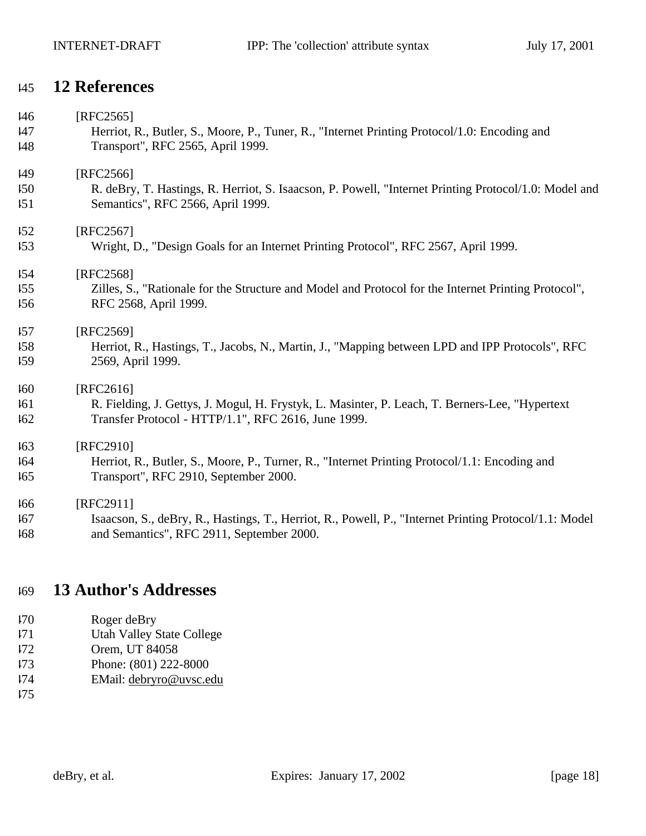### **12 References**

| 146 | $[RFC2565]$                                                                                            |
|-----|--------------------------------------------------------------------------------------------------------|
| I47 | Herriot, R., Butler, S., Moore, P., Tuner, R., "Internet Printing Protocol/1.0: Encoding and           |
| 148 | Transport", RFC 2565, April 1999.                                                                      |
| 149 | [RFC2566]                                                                                              |
| 150 | R. deBry, T. Hastings, R. Herriot, S. Isaacson, P. Powell, "Internet Printing Protocol/1.0: Model and  |
| 151 | Semantics", RFC 2566, April 1999.                                                                      |
| 152 | [RFC2567]                                                                                              |
| 153 | Wright, D., "Design Goals for an Internet Printing Protocol", RFC 2567, April 1999.                    |
| 154 | [RFC2568]                                                                                              |
| 155 | Zilles, S., "Rationale for the Structure and Model and Protocol for the Internet Printing Protocol",   |
| 156 | RFC 2568, April 1999.                                                                                  |
| 157 | [RFC2569]                                                                                              |
| 158 | Herriot, R., Hastings, T., Jacobs, N., Martin, J., "Mapping between LPD and IPP Protocols", RFC        |
| 159 | 2569, April 1999.                                                                                      |
| 160 | [RFC2616]                                                                                              |
| 161 | R. Fielding, J. Gettys, J. Mogul, H. Frystyk, L. Masinter, P. Leach, T. Berners-Lee, "Hypertext        |
| 162 | Transfer Protocol - HTTP/1.1", RFC 2616, June 1999.                                                    |
| 163 | [RFC2910]                                                                                              |
| 164 | Herriot, R., Butler, S., Moore, P., Turner, R., "Internet Printing Protocol/1.1: Encoding and          |
| 165 | Transport", RFC 2910, September 2000.                                                                  |
| 166 | [RFC2911]                                                                                              |
| 167 | Isaacson, S., deBry, R., Hastings, T., Herriot, R., Powell, P., "Internet Printing Protocol/1.1: Model |
| 168 | and Semantics", RFC 2911, September 2000.                                                              |

# **13 Author's Addresses**

- Roger deBry
- Utah Valley State College
- Orem, UT 84058
- Phone: (801) 222-8000
- EMail: debryro@uvsc.edu
-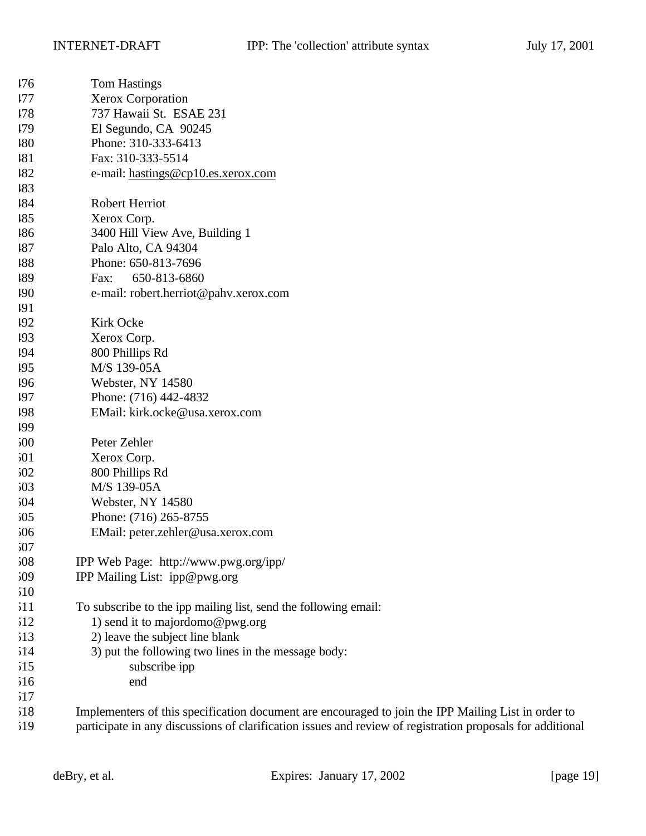| 176 | <b>Tom Hastings</b>                                                                                 |
|-----|-----------------------------------------------------------------------------------------------------|
| 177 | <b>Xerox Corporation</b>                                                                            |
| 178 | 737 Hawaii St. ESAE 231                                                                             |
| 179 | El Segundo, CA 90245                                                                                |
| 180 | Phone: 310-333-6413                                                                                 |
| 181 | Fax: 310-333-5514                                                                                   |
| 182 | e-mail: hastings@cp10.es.xerox.com                                                                  |
| 183 |                                                                                                     |
| 184 | Robert Herriot                                                                                      |
| 185 | Xerox Corp.                                                                                         |
| 186 | 3400 Hill View Ave, Building 1                                                                      |
| 187 | Palo Alto, CA 94304                                                                                 |
| 188 | Phone: 650-813-7696                                                                                 |
| 189 | 650-813-6860<br>Fax:                                                                                |
| 190 | e-mail: robert.herriot@pahv.xerox.com                                                               |
| 191 |                                                                                                     |
| 192 | Kirk Ocke                                                                                           |
| 193 | Xerox Corp.                                                                                         |
| 194 | 800 Phillips Rd                                                                                     |
| 195 | M/S 139-05A                                                                                         |
| 196 | Webster, NY 14580                                                                                   |
| 197 | Phone: (716) 442-4832                                                                               |
| 198 | EMail: kirk.ocke@usa.xerox.com                                                                      |
| 199 |                                                                                                     |
| 500 | Peter Zehler                                                                                        |
| 501 | Xerox Corp.                                                                                         |
| 502 | 800 Phillips Rd                                                                                     |
| 503 | M/S 139-05A                                                                                         |
| 504 | Webster, NY 14580                                                                                   |
| 505 | Phone: (716) 265-8755                                                                               |
| 506 | EMail: peter.zehler@usa.xerox.com                                                                   |
| 507 |                                                                                                     |
| 508 | IPP Web Page: http://www.pwg.org/ipp/                                                               |
| 509 | IPP Mailing List: ipp@pwg.org                                                                       |
| 510 |                                                                                                     |
| 511 | To subscribe to the ipp mailing list, send the following email:                                     |
| 512 | 1) send it to majordomo@pwg.org                                                                     |
| 513 | 2) leave the subject line blank                                                                     |
| 514 | 3) put the following two lines in the message body:                                                 |
| 515 | subscribe ipp                                                                                       |
| 516 | end                                                                                                 |
| 517 |                                                                                                     |
| 518 | Implementers of this specification document are encouraged to join the IPP Mailing List in order to |

participate in any discussions of clarification issues and review of registration proposals for additional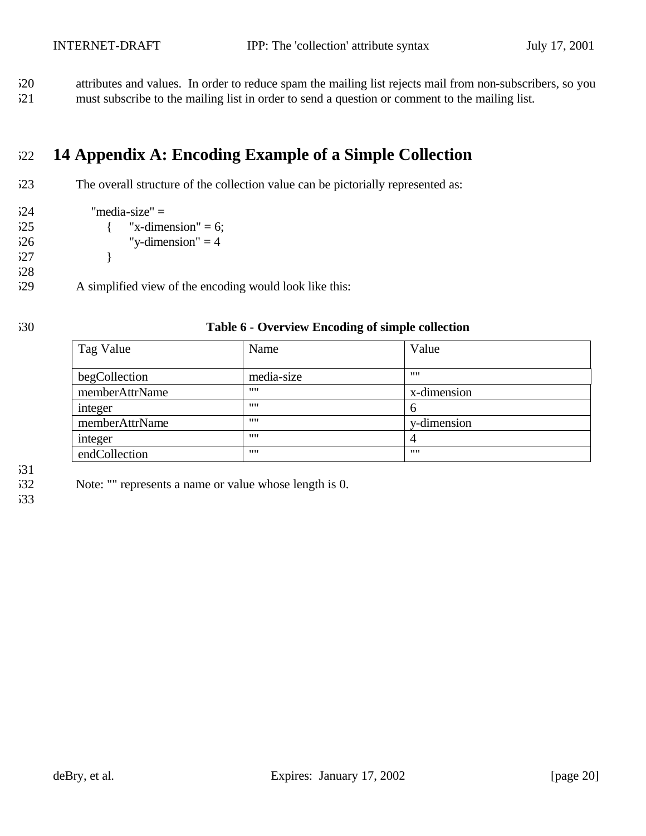attributes and values. In order to reduce spam the mailing list rejects mail from non-subscribers, so you must subscribe to the mailing list in order to send a question or comment to the mailing list.

# **14 Appendix A: Encoding Example of a Simple Collection**

- The overall structure of the collection value can be pictorially represented as:
- "media-size" = { "x-dimension" = 6; "y-dimension" = 4
- }

A simplified view of the encoding would look like this:

#### **Table 6 - Overview Encoding of simple collection**

| Tag Value      | Name       | Value         |
|----------------|------------|---------------|
| begCollection  | media-size | 1111          |
| memberAttrName | 1111       | x-dimension   |
| integer        | 1111       | $\mathfrak b$ |
| memberAttrName | 1111       | y-dimension   |
| integer        | 1111       | 4             |
| endCollection  | 1111       |               |

Note: "" represents a name or value whose length is 0.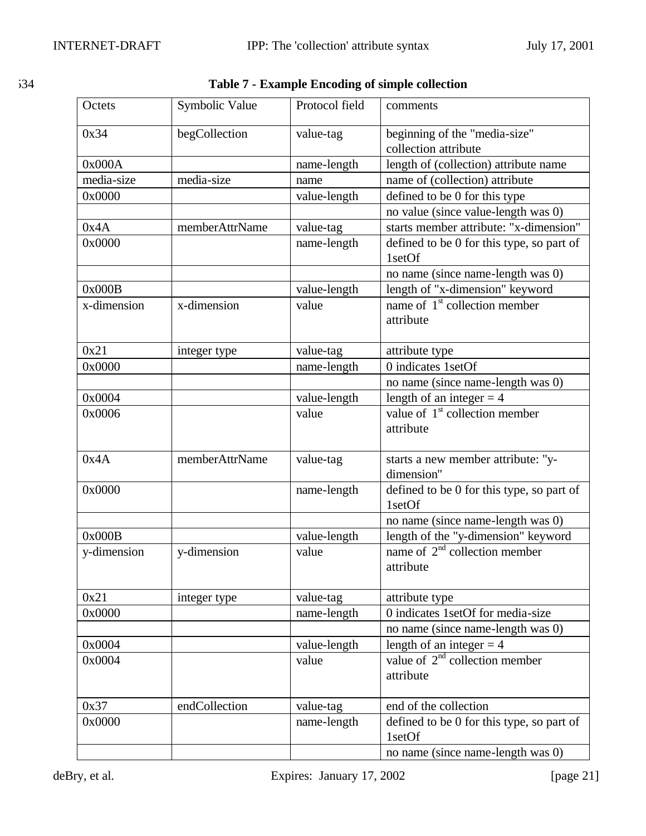| ×. | I<br>v<br>٠ |  |
|----|-------------|--|
|    |             |  |

| Octets      | Symbolic Value | Protocol field | comments                                            |
|-------------|----------------|----------------|-----------------------------------------------------|
| 0x34        | begCollection  | value-tag      | beginning of the "media-size"                       |
|             |                |                | collection attribute                                |
| 0x000A      |                | name-length    | length of (collection) attribute name               |
| media-size  | media-size     | name           | name of (collection) attribute                      |
| 0x0000      |                | value-length   | defined to be 0 for this type                       |
|             |                |                | no value (since value-length was 0)                 |
| 0x4A        | memberAttrName | value-tag      | starts member attribute: "x-dimension"              |
| 0x0000      |                | name-length    | defined to be 0 for this type, so part of<br>1setOf |
|             |                |                | no name (since name-length was 0)                   |
| 0x000B      |                | value-length   | length of "x-dimension" keyword                     |
| x-dimension | x-dimension    | value          | name of 1 <sup>st</sup> collection member           |
|             |                |                | attribute                                           |
| 0x21        | integer type   | value-tag      | attribute type                                      |
| 0x0000      |                | name-length    | 0 indicates 1setOf                                  |
|             |                |                | no name (since name-length was 0)                   |
| 0x0004      |                | value-length   | length of an integer $=$ 4                          |
| 0x0006      |                | value          | value of $1st$ collection member                    |
|             |                |                | attribute                                           |
| 0x4A        | memberAttrName | value-tag      | starts a new member attribute: "y-<br>dimension"    |
| 0x0000      |                | name-length    | defined to be 0 for this type, so part of<br>1setOf |
|             |                |                | no name (since name-length was 0)                   |
| 0x000B      |                | value-length   | length of the "y-dimension" keyword                 |
| y-dimension | y-dimension    | value          | name of $2nd$ collection member<br>attribute        |
| 0x21        | integer type   | value-tag      | attribute type                                      |
| 0x0000      |                | name-length    | 0 indicates 1setOf for media-size                   |
|             |                |                | no name (since name-length was 0)                   |
| 0x0004      |                | value-length   | length of an integer $=$ 4                          |
| 0x0004      |                | value          | value of $2nd$ collection member<br>attribute       |
|             |                |                |                                                     |
| 0x37        | endCollection  | value-tag      | end of the collection                               |
| 0x0000      |                | name-length    | defined to be 0 for this type, so part of           |
|             |                |                | 1setOf                                              |
|             |                |                | no name (since name-length was 0)                   |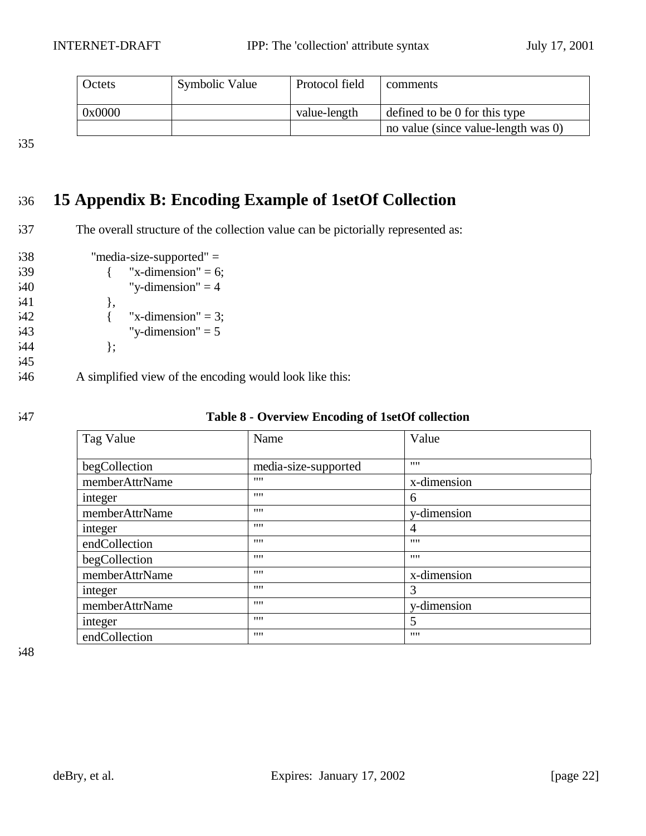| Octets | Symbolic Value | Protocol field | comments                            |
|--------|----------------|----------------|-------------------------------------|
| 0x0000 |                | value-length   | defined to be 0 for this type       |
|        |                |                | no value (since value-length was 0) |

# 536 **15 Appendix B: Encoding Example of 1setOf Collection**

- 537 The overall structure of the collection value can be pictorially represented as:
- 538 "media-size-supported" = 539  $\{$  "x-dimension" = 6;  $540$  "y-dimension" = 4 541 },  $542$  { "x-dimension" = 3;  $543$  "y-dimension" = 5  $544$  }; 545
- 546 A simplified view of the encoding would look like this:

| 547 | Table 8 - Overview Encoding of 1setOf collection |
|-----|--------------------------------------------------|
|-----|--------------------------------------------------|

| Tag Value      | Name                 | Value       |
|----------------|----------------------|-------------|
| begCollection  | media-size-supported | 1111        |
| memberAttrName | 1111                 | x-dimension |
| integer        | 1111                 | 6           |
| memberAttrName | 1111                 | y-dimension |
| integer        | 1111                 | 4           |
| endCollection  | 1111                 | 1111        |
| begCollection  | 1111                 | 1111        |
| memberAttrName | 1111                 | x-dimension |
| integer        | 1111                 | 3           |
| memberAttrName | 1111                 | y-dimension |
| integer        | 1111                 | 5           |
| endCollection  | 1111                 | 1111        |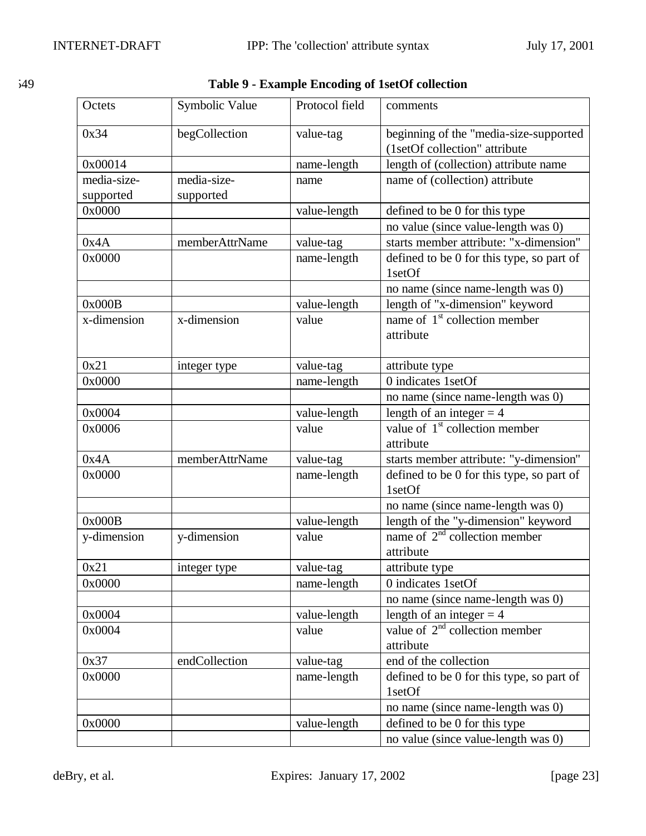| ×. | ۰.<br>٧<br>v |
|----|--------------|

549 **Table 9 - Example Encoding of 1setOf collection**

| Octets      | Symbolic Value | Protocol field | comments                                            |
|-------------|----------------|----------------|-----------------------------------------------------|
| 0x34        | begCollection  | value-tag      | beginning of the "media-size-supported              |
|             |                |                | (1setOf collection" attribute                       |
| 0x00014     |                | name-length    | length of (collection) attribute name               |
| media-size- | media-size-    | name           | name of (collection) attribute                      |
| supported   | supported      |                |                                                     |
| 0x0000      |                | value-length   | defined to be 0 for this type                       |
|             |                |                | no value (since value-length was 0)                 |
| 0x4A        | memberAttrName | value-tag      | starts member attribute: "x-dimension"              |
| 0x0000      |                | name-length    | defined to be 0 for this type, so part of<br>1setOf |
|             |                |                | no name (since name-length was 0)                   |
| 0x000B      |                | value-length   | length of "x-dimension" keyword                     |
| x-dimension | x-dimension    | value          | name of $1st$ collection member<br>attribute        |
| 0x21        | integer type   | value-tag      | attribute type                                      |
| 0x0000      |                | name-length    | 0 indicates 1setOf                                  |
|             |                |                | no name (since name-length was 0)                   |
| 0x0004      |                | value-length   | length of an integer $=$ 4                          |
| 0x0006      |                | value          | value of $1st$ collection member<br>attribute       |
| 0x4A        | memberAttrName | value-tag      | starts member attribute: "y-dimension"              |
| 0x0000      |                | name-length    | defined to be 0 for this type, so part of<br>1setOf |
|             |                |                | no name (since name-length was 0)                   |
| 0x000B      |                | value-length   | length of the "y-dimension" keyword                 |
| y-dimension | y-dimension    | value          | name of $2nd$ collection member<br>attribute        |
| 0x21        | integer type   | value-tag      | attribute type                                      |
| 0x0000      |                | name-length    | 0 indicates 1setOf                                  |
|             |                |                | no name (since name-length was 0)                   |
| 0x0004      |                | value-length   | length of an integer $=$ 4                          |
| 0x0004      |                | value          | value of $2nd$ collection member                    |
|             |                |                | attribute                                           |
| 0x37        | endCollection  | value-tag      | end of the collection                               |
| 0x0000      |                | name-length    | defined to be 0 for this type, so part of<br>1setOf |
|             |                |                | no name (since name-length was 0)                   |
| 0x0000      |                | value-length   | defined to be 0 for this type                       |
|             |                |                | no value (since value-length was 0)                 |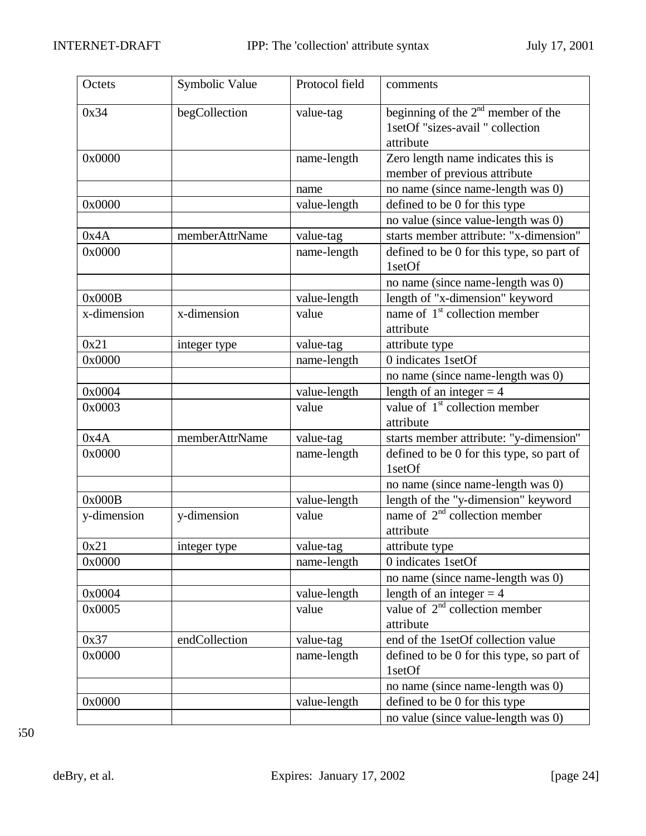| Octets      | Symbolic Value | Protocol field | comments                                                                              |
|-------------|----------------|----------------|---------------------------------------------------------------------------------------|
| 0x34        | begCollection  | value-tag      | beginning of the $2nd$ member of the<br>1setOf "sizes-avail " collection<br>attribute |
| 0x0000      |                | name-length    | Zero length name indicates this is                                                    |
|             |                |                | member of previous attribute                                                          |
|             |                | name           | no name (since name-length was 0)                                                     |
| 0x0000      |                | value-length   | defined to be 0 for this type                                                         |
|             |                |                | no value (since value-length was 0)                                                   |
| 0x4A        | memberAttrName | value-tag      | starts member attribute: "x-dimension"                                                |
| 0x0000      |                | name-length    | defined to be 0 for this type, so part of<br>1setOf                                   |
|             |                |                | no name (since name-length was 0)                                                     |
| 0x000B      |                | value-length   | length of "x-dimension" keyword                                                       |
| x-dimension | x-dimension    | value          | name of $1st$ collection member                                                       |
|             |                |                | attribute                                                                             |
| 0x21        | integer type   | value-tag      | attribute type                                                                        |
| 0x0000      |                | name-length    | 0 indicates 1setOf                                                                    |
|             |                |                | no name (since name-length was 0)                                                     |
| 0x0004      |                | value-length   | length of an integer $= 4$                                                            |
| 0x0003      |                | value          | value of 1 <sup>st</sup> collection member<br>attribute                               |
| 0x4A        | memberAttrName | value-tag      | starts member attribute: "y-dimension"                                                |
| 0x0000      |                | name-length    | defined to be 0 for this type, so part of<br>1setOf                                   |
|             |                |                | no name (since name-length was 0)                                                     |
| 0x000B      |                | value-length   | length of the "y-dimension" keyword                                                   |
| y-dimension | y-dimension    | value          | name of 2 <sup>nd</sup> collection member<br>attribute                                |
| 0x21        | integer type   | value-tag      | attribute type                                                                        |
| 0x0000      |                | name-length    | 0 indicates 1setOf                                                                    |
|             |                |                | no name (since name-length was 0)                                                     |
| 0x0004      |                | value-length   | length of an integer $=$ 4                                                            |
| 0x0005      |                | value          | value of $2nd$ collection member                                                      |
|             |                |                | attribute                                                                             |
| 0x37        | endCollection  | value-tag      | end of the 1setOf collection value                                                    |
| 0x0000      |                | name-length    | defined to be 0 for this type, so part of<br>1setOf                                   |
|             |                |                | no name (since name-length was 0)                                                     |
| 0x0000      |                | value-length   | defined to be 0 for this type                                                         |
|             |                |                | no value (since value-length was 0)                                                   |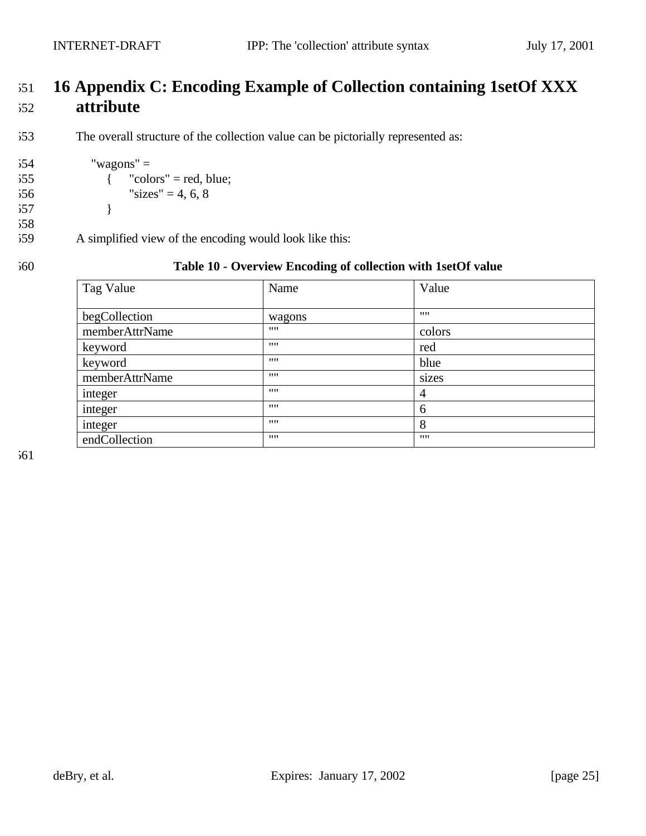$554$  "wagons" =

557 }

 $55$  { "colors" = red, blue;  $556$  "sizes" = 4, 6, 8

559 A simplified view of the encoding would look like this:

# 551 **16 Appendix C: Encoding Example of Collection containing 1setOf XXX**  552 **attribute**

553 The overall structure of the collection value can be pictorially represented as:

558

#### 560 **Table 10 - Overview Encoding of collection with 1setOf value**

| Tag Value      | Name   | Value          |
|----------------|--------|----------------|
| begCollection  | wagons |                |
| memberAttrName | 1111   | colors         |
| keyword        | 1111   | red            |
| keyword        | 1111   | blue           |
| memberAttrName | 1111   | sizes          |
| integer        | 1111   | $\overline{4}$ |
| integer        | 1111   | 6              |
| integer        | 1111   | 8              |
| endCollection  | 1111   | 1111           |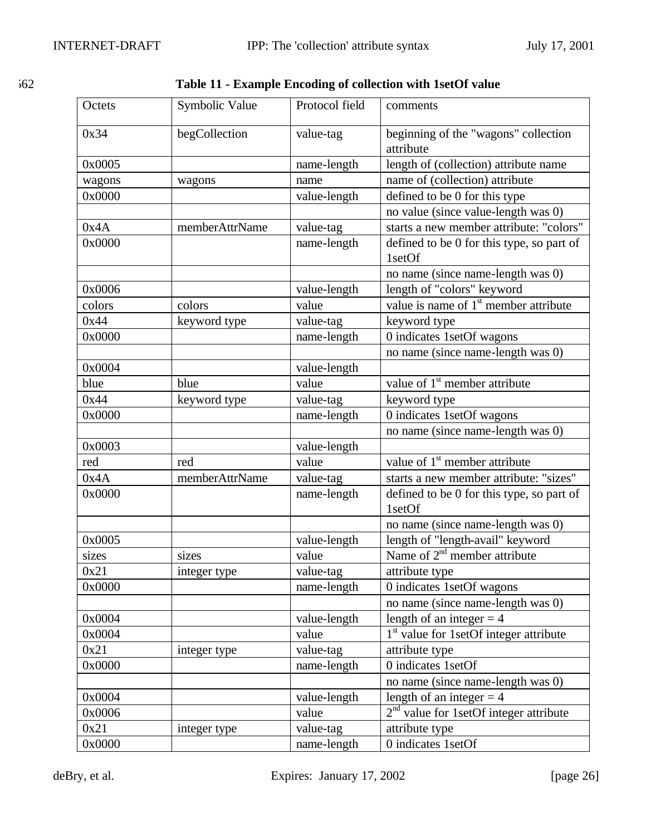| I |  |
|---|--|
|   |  |

562 **Table 11 - Example Encoding of collection with 1setOf value**

| Octets | Symbolic Value | Protocol field | comments                                            |
|--------|----------------|----------------|-----------------------------------------------------|
| 0x34   | begCollection  | value-tag      | beginning of the "wagons" collection<br>attribute   |
| 0x0005 |                | name-length    | length of (collection) attribute name               |
| wagons | wagons         | name           | name of (collection) attribute                      |
| 0x0000 |                | value-length   | defined to be 0 for this type                       |
|        |                |                | no value (since value-length was 0)                 |
| 0x4A   | memberAttrName | value-tag      | starts a new member attribute: "colors"             |
| 0x0000 |                | name-length    | defined to be 0 for this type, so part of<br>1setOf |
|        |                |                | no name (since name-length was 0)                   |
| 0x0006 |                | value-length   | length of "colors" keyword                          |
| colors | colors         | value          | value is name of $1^{\text{st}}$ member attribute   |
| 0x44   | keyword type   | value-tag      | keyword type                                        |
| 0x0000 |                | name-length    | 0 indicates 1setOf wagons                           |
|        |                |                | no name (since name-length was 0)                   |
| 0x0004 |                | value-length   |                                                     |
| blue   | blue           | value          | value of $1st$ member attribute                     |
| 0x44   | keyword type   | value-tag      | keyword type                                        |
| 0x0000 |                | name-length    | 0 indicates 1setOf wagons                           |
|        |                |                | no name (since name-length was 0)                   |
| 0x0003 |                | value-length   |                                                     |
| red    | red            | value          | value of $1st$ member attribute                     |
| 0x4A   | memberAttrName | value-tag      | starts a new member attribute: "sizes"              |
| 0x0000 |                | name-length    | defined to be 0 for this type, so part of<br>1setOf |
|        |                |                | no name (since name-length was 0)                   |
| 0x0005 |                | value-length   | length of "length-avail" keyword                    |
| sizes  | sizes          | value          | Name of 2 <sup>nd</sup> member attribute            |
| 0x21   | integer type   | value-tag      | attribute type                                      |
| 0x0000 |                | name-length    | 0 indicates 1setOf wagons                           |
|        |                |                | no name (since name-length was 0)                   |
| 0x0004 |                | value-length   | length of an integer $=$ 4                          |
| 0x0004 |                | value          | 1 <sup>st</sup> value for 1setOf integer attribute  |
| 0x21   | integer type   | value-tag      | attribute type                                      |
| 0x0000 |                | name-length    | 0 indicates 1setOf                                  |
|        |                |                | no name (since name-length was 0)                   |
| 0x0004 |                | value-length   | length of an integer $=$ 4                          |
| 0x0006 |                | value          | $2nd$ value for 1setOf integer attribute            |
| 0x21   | integer type   | value-tag      | attribute type                                      |
| 0x0000 |                | name-length    | 0 indicates 1setOf                                  |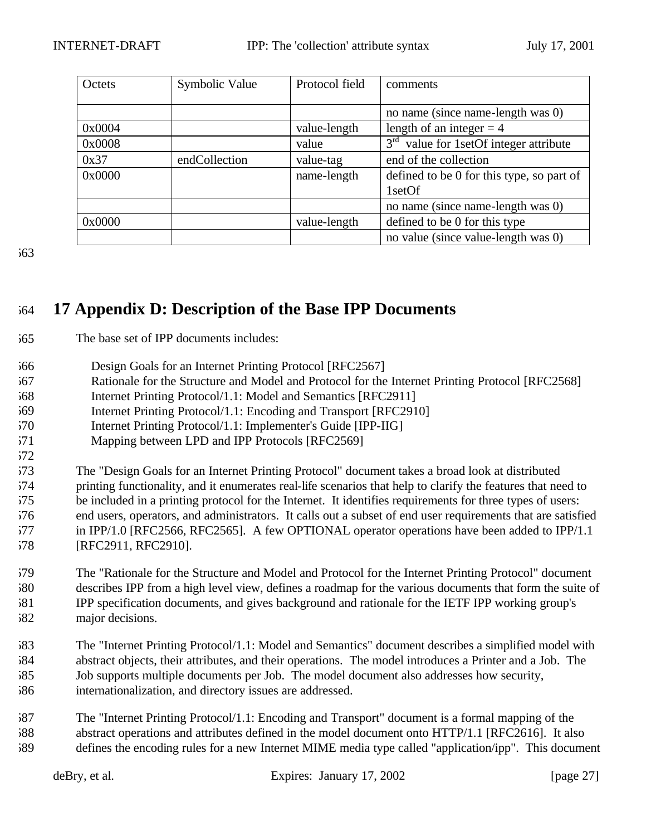| Octets | Symbolic Value | Protocol field | comments                                   |
|--------|----------------|----------------|--------------------------------------------|
|        |                |                |                                            |
|        |                |                | no name (since name-length was 0)          |
| 0x0004 |                | value-length   | length of an integer $=$ 4                 |
| 0x0008 |                | value          | $3rd$ value for 1 set Of integer attribute |
| 0x37   | endCollection  | value-tag      | end of the collection                      |
| 0x0000 |                | name-length    | defined to be 0 for this type, so part of  |
|        |                |                | 1setOf                                     |
|        |                |                | no name (since name-length was 0)          |
| 0x0000 |                | value-length   | defined to be 0 for this type              |
|        |                |                | no value (since value-length was 0)        |

# **17 Appendix D: Description of the Base IPP Documents**

- The base set of IPP documents includes:
- Design Goals for an Internet Printing Protocol [RFC2567]
- Rationale for the Structure and Model and Protocol for the Internet Printing Protocol [RFC2568]
- Internet Printing Protocol/1.1: Model and Semantics [RFC2911]
- Internet Printing Protocol/1.1: Encoding and Transport [RFC2910]
- 570 Internet Printing Protocol/1.1: Implementer's Guide [IPP-IIG]
- Mapping between LPD and IPP Protocols [RFC2569]

 The "Design Goals for an Internet Printing Protocol" document takes a broad look at distributed printing functionality, and it enumerates real-life scenarios that help to clarify the features that need to be included in a printing protocol for the Internet. It identifies requirements for three types of users: end users, operators, and administrators. It calls out a subset of end user requirements that are satisfied in IPP/1.0 [RFC2566, RFC2565]. A few OPTIONAL operator operations have been added to IPP/1.1 [RFC2911, RFC2910].

 The "Rationale for the Structure and Model and Protocol for the Internet Printing Protocol" document describes IPP from a high level view, defines a roadmap for the various documents that form the suite of IPP specification documents, and gives background and rationale for the IETF IPP working group's major decisions.

- The "Internet Printing Protocol/1.1: Model and Semantics" document describes a simplified model with abstract objects, their attributes, and their operations. The model introduces a Printer and a Job. The Job supports multiple documents per Job. The model document also addresses how security, internationalization, and directory issues are addressed.
- The "Internet Printing Protocol/1.1: Encoding and Transport" document is a formal mapping of the abstract operations and attributes defined in the model document onto HTTP/1.1 [RFC2616]. It also defines the encoding rules for a new Internet MIME media type called "application/ipp". This document